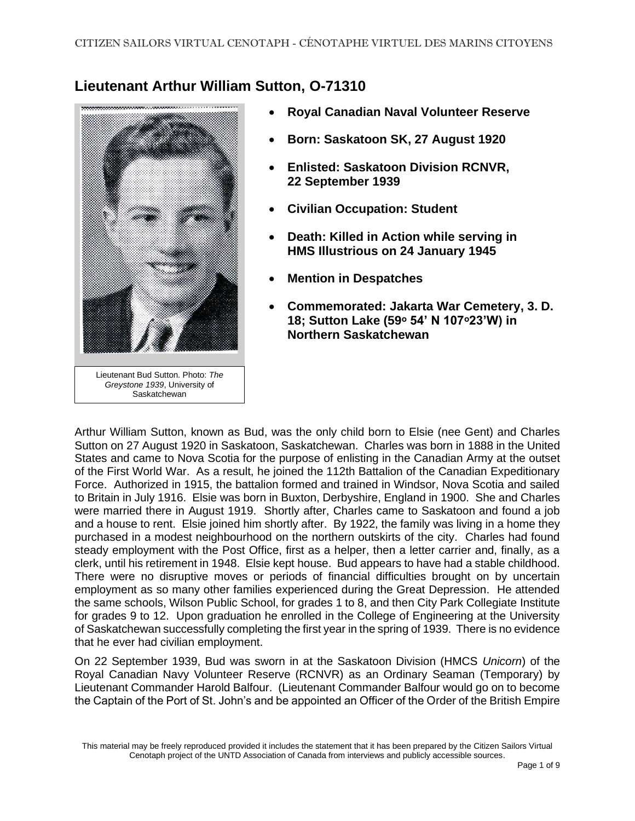## **Lieutenant Arthur William Sutton, O-71310**



- **Royal Canadian Naval Volunteer Reserve**
- **Born: Saskatoon SK, 27 August 1920**
- **Enlisted: Saskatoon Division RCNVR, 22 September 1939**
- **Civilian Occupation: Student**
- **Death: Killed in Action while serving in HMS Illustrious on 24 January 1945**
- **Mention in Despatches**
- **Commemorated: Jakarta War Cemetery, 3. D. 18; Sutton Lake (59ᵒ 54' N 107ᵒ23'W) in Northern Saskatchewan**

Arthur William Sutton, known as Bud, was the only child born to Elsie (nee Gent) and Charles Sutton on 27 August 1920 in Saskatoon, Saskatchewan. Charles was born in 1888 in the United States and came to Nova Scotia for the purpose of enlisting in the Canadian Army at the outset of the First World War. As a result, he joined the 112th Battalion of the Canadian Expeditionary Force. Authorized in 1915, the battalion formed and trained in Windsor, Nova Scotia and sailed to Britain in July 1916. Elsie was born in Buxton, Derbyshire, England in 1900. She and Charles were married there in August 1919. Shortly after, Charles came to Saskatoon and found a job and a house to rent. Elsie joined him shortly after. By 1922, the family was living in a home they purchased in a modest neighbourhood on the northern outskirts of the city. Charles had found steady employment with the Post Office, first as a helper, then a letter carrier and, finally, as a clerk, until his retirement in 1948. Elsie kept house. Bud appears to have had a stable childhood. There were no disruptive moves or periods of financial difficulties brought on by uncertain employment as so many other families experienced during the Great Depression. He attended the same schools, Wilson Public School, for grades 1 to 8, and then City Park Collegiate Institute for grades 9 to 12. Upon graduation he enrolled in the College of Engineering at the University of Saskatchewan successfully completing the first year in the spring of 1939. There is no evidence that he ever had civilian employment.

On 22 September 1939, Bud was sworn in at the Saskatoon Division (HMCS *Unicorn*) of the Royal Canadian Navy Volunteer Reserve (RCNVR) as an Ordinary Seaman (Temporary) by Lieutenant Commander Harold Balfour. (Lieutenant Commander Balfour would go on to become the Captain of the Port of St. John's and be appointed an Officer of the Order of the British Empire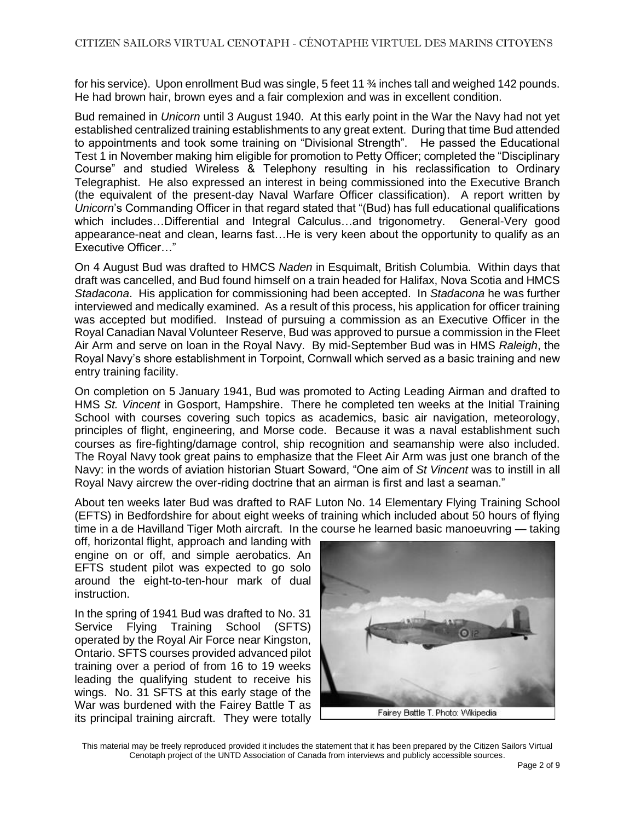for his service). Upon enrollment Bud was single, 5 feet 11 ¾ inches tall and weighed 142 pounds. He had brown hair, brown eyes and a fair complexion and was in excellent condition.

Bud remained in *Unicorn* until 3 August 1940. At this early point in the War the Navy had not yet established centralized training establishments to any great extent. During that time Bud attended to appointments and took some training on "Divisional Strength". He passed the Educational Test 1 in November making him eligible for promotion to Petty Officer; completed the "Disciplinary Course" and studied Wireless & Telephony resulting in his reclassification to Ordinary Telegraphist. He also expressed an interest in being commissioned into the Executive Branch (the equivalent of the present-day Naval Warfare Officer classification). A report written by *Unicorn*'s Commanding Officer in that regard stated that "(Bud) has full educational qualifications which includes…Differential and Integral Calculus…and trigonometry. General-Very good appearance-neat and clean, learns fast…He is very keen about the opportunity to qualify as an Executive Officer…"

On 4 August Bud was drafted to HMCS *Naden* in Esquimalt, British Columbia. Within days that draft was cancelled, and Bud found himself on a train headed for Halifax, Nova Scotia and HMCS *Stadacona*. His application for commissioning had been accepted. In *Stadacona* he was further interviewed and medically examined. As a result of this process, his application for officer training was accepted but modified. Instead of pursuing a commission as an Executive Officer in the Royal Canadian Naval Volunteer Reserve, Bud was approved to pursue a commission in the Fleet Air Arm and serve on loan in the Royal Navy. By mid-September Bud was in HMS *Raleigh*, the Royal Navy's shore establishment in Torpoint, Cornwall which served as a basic training and new entry training facility.

On completion on 5 January 1941, Bud was promoted to Acting Leading Airman and drafted to HMS *St. Vincent* in Gosport, Hampshire. There he completed ten weeks at the Initial Training School with courses covering such topics as academics, basic air navigation, meteorology, principles of flight, engineering, and Morse code. Because it was a naval establishment such courses as fire-fighting/damage control, ship recognition and seamanship were also included. The Royal Navy took great pains to emphasize that the Fleet Air Arm was just one branch of the Navy: in the words of aviation historian Stuart Soward, "One aim of *St Vincent* was to instill in all Royal Navy aircrew the over-riding doctrine that an airman is first and last a seaman."

About ten weeks later Bud was drafted to RAF Luton No. 14 Elementary Flying Training School (EFTS) in Bedfordshire for about eight weeks of training which included about 50 hours of flying time in a de Havilland Tiger Moth aircraft. In the course he learned basic manoeuvring — taking

off, horizontal flight, approach and landing with engine on or off, and simple aerobatics. An EFTS student pilot was expected to go solo around the eight-to-ten-hour mark of dual instruction.

In the spring of 1941 Bud was drafted to No. 31 Service Flying Training School (SFTS) operated by the Royal Air Force near Kingston, Ontario. SFTS courses provided advanced pilot training over a period of from 16 to 19 weeks leading the qualifying student to receive his wings. No. 31 SFTS at this early stage of the War was burdened with the Fairey Battle T as its principal training aircraft. They were totally

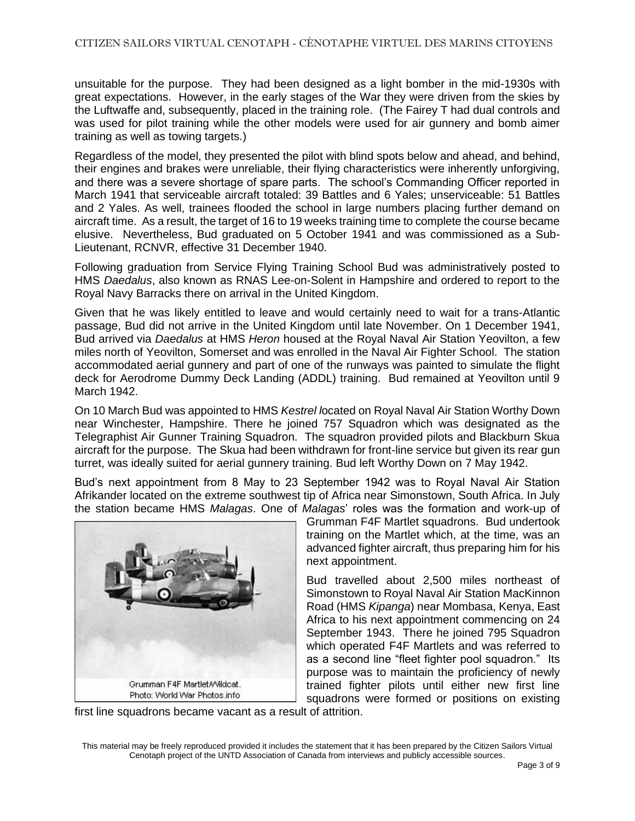unsuitable for the purpose. They had been designed as a light bomber in the mid-1930s with great expectations. However, in the early stages of the War they were driven from the skies by the Luftwaffe and, subsequently, placed in the training role. (The Fairey T had dual controls and was used for pilot training while the other models were used for air gunnery and bomb aimer training as well as towing targets.)

Regardless of the model, they presented the pilot with blind spots below and ahead, and behind, their engines and brakes were unreliable, their flying characteristics were inherently unforgiving, and there was a severe shortage of spare parts. The school's Commanding Officer reported in March 1941 that serviceable aircraft totaled: 39 Battles and 6 Yales; unserviceable: 51 Battles and 2 Yales. As well, trainees flooded the school in large numbers placing further demand on aircraft time. As a result, the target of 16 to 19 weeks training time to complete the course became elusive. Nevertheless, Bud graduated on 5 October 1941 and was commissioned as a Sub-Lieutenant, RCNVR, effective 31 December 1940.

Following graduation from Service Flying Training School Bud was administratively posted to HMS *Daedalus*, also known as RNAS Lee-on-Solent in Hampshire and ordered to report to the Royal Navy Barracks there on arrival in the United Kingdom.

Given that he was likely entitled to leave and would certainly need to wait for a trans-Atlantic passage, Bud did not arrive in the United Kingdom until late November. On 1 December 1941, Bud arrived via *Daedalus* at HMS *Heron* housed at the Royal Naval Air Station Yeovilton, a few miles north of [Yeovilt](https://en.wikipedia.org/wiki/Yeovil)on, [Somerset](https://en.wikipedia.org/wiki/Somerset) and was enrolled in the Naval Air Fighter School. The station accommodated aerial gunnery and part of one of the runways was painted to simulate the flight deck for Aerodrome Dummy Deck Landing (ADDL) training. Bud remained at Yeovilton until 9 March 1942.

On 10 March Bud was appointed to HMS *Kestrel l*ocated on Royal Naval Air Station Worthy Down near Winchester, Hampshire. There he joined 757 Squadron which was designated as the Telegraphist Air Gunner Training Squadron. The squadron provided pilots and Blackburn Skua aircraft for the purpose. The Skua had been withdrawn for front-line service but given its rear gun turret, was ideally suited for aerial gunnery training. Bud left Worthy Down on 7 May 1942.

Bud's next appointment from 8 May to 23 September 1942 was to Royal Naval Air Station Afrikander located on the extreme southwest tip of Africa near Simonstown, South Africa. In July the station became HMS *Malagas*. One of *Malagas*' roles was the formation and work-up of



Grumman F4F Martlet squadrons. Bud undertook training on the Martlet which, at the time, was an advanced fighter aircraft, thus preparing him for his next appointment.

Bud travelled about 2,500 miles northeast of Simonstown to Royal Naval Air Station MacKinnon Road (HMS *Kipanga*) near Mombasa, Kenya, East Africa to his next appointment commencing on 24 September 1943. There he joined 795 Squadron which operated F4F Martlets and was referred to as a second line "fleet fighter pool squadron." Its purpose was to maintain the proficiency of newly trained fighter pilots until either new first line squadrons were formed or positions on existing

first line squadrons became vacant as a result of attrition.

This material may be freely reproduced provided it includes the statement that it has been prepared by the Citizen Sailors Virtual Cenotaph project of the UNTD Association of Canada from interviews and publicly accessible sources.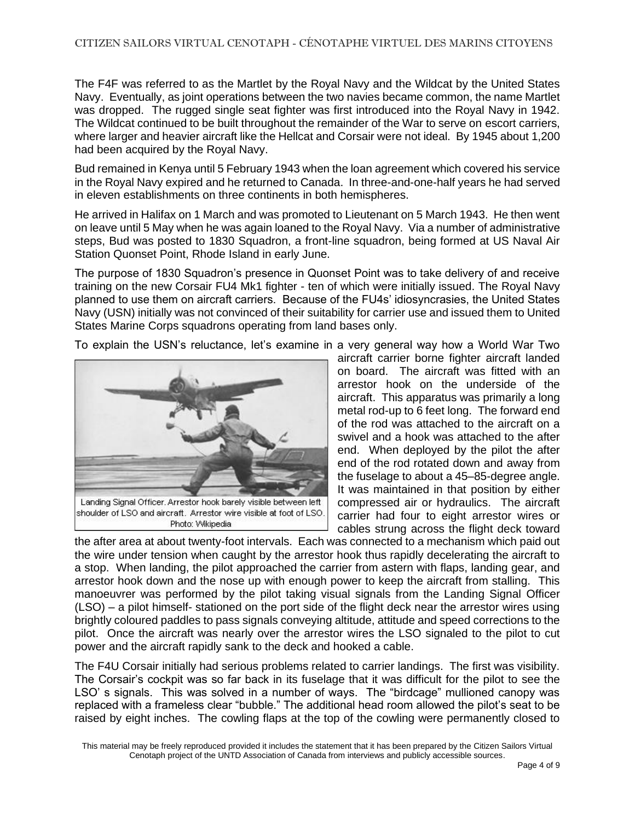The F4F was referred to as the Martlet by the Royal Navy and the Wildcat by the United States Navy. Eventually, as joint operations between the two navies became common, the name Martlet was dropped. The rugged single seat fighter was first introduced into the Royal Navy in 1942. The Wildcat continued to be built throughout the remainder of the War to serve on [escort carriers,](https://en.wikipedia.org/wiki/Escort_aircraft_carrier) where larger and heavier aircraft like the Hellcat and Corsair were not ideal. By 1945 about 1,200 had been acquired by the Royal Navy.

Bud remained in Kenya until 5 February 1943 when the loan agreement which covered his service in the Royal Navy expired and he returned to Canada. In three-and-one-half years he had served in eleven establishments on three continents in both hemispheres.

He arrived in Halifax on 1 March and was promoted to Lieutenant on 5 March 1943. He then went on leave until 5 May when he was again loaned to the Royal Navy. Via a number of administrative steps, Bud was posted to 1830 Squadron, a front-line squadron, being formed at US Naval Air Station Quonset Point, Rhode Island in early June.

The purpose of 1830 Squadron's presence in Quonset Point was to take delivery of and receive training on the new Corsair FU4 Mk1 fighter - ten of which were initially issued. The Royal Navy planned to use them on aircraft carriers. Because of the FU4s' idiosyncrasies, the United States Navy (USN) initially was not convinced of their suitability for carrier use and issued them to United States Marine Corps squadrons operating from land bases only.

To explain the USN's reluctance, let's examine in a very general way how a World War Two



shoulder of LSO and aircraft. Arrestor wire visible at foot of LSO. Photo: Wikipedia

aircraft carrier borne fighter aircraft landed on board. The aircraft was fitted with an arrestor hook on the underside of the aircraft. This apparatus was primarily a long metal rod-up to 6 feet long. The forward end of the rod was attached to the aircraft on a swivel and a hook was attached to the after end. When deployed by the pilot the after end of the rod rotated down and away from the fuselage to about a 45–85-degree angle. It was maintained in that position by either compressed air or hydraulics. The aircraft carrier had four to eight arrestor wires or cables strung across the flight deck toward

the after area at about twenty-foot intervals. Each was connected to a mechanism which paid out the wire under tension when caught by the arrestor hook thus rapidly decelerating the aircraft to a stop. When landing, the pilot approached the carrier from astern with flaps, landing gear, and arrestor hook down and the nose up with enough power to keep the aircraft from stalling. This manoeuvrer was performed by the pilot taking visual signals from the Landing Signal Officer (LSO) – a pilot himself- stationed on the port side of the flight deck near the arrestor wires using brightly coloured paddles to pass signals conveying altitude, attitude and speed corrections to the pilot. Once the aircraft was nearly over the arrestor wires the LSO signaled to the pilot to cut power and the aircraft rapidly sank to the deck and hooked a cable.

The F4U Corsair initially had serious problems related to carrier landings. The first was visibility. The Corsair's cockpit was so far back in its fuselage that it was difficult for the pilot to see the LSO' s signals. This was solved in a number of ways. The "birdcage" mullioned canopy was replaced with a frameless clear "bubble." The additional head room allowed the pilot's seat to be raised by eight inches. The cowling flaps at the top of the cowling were permanently closed to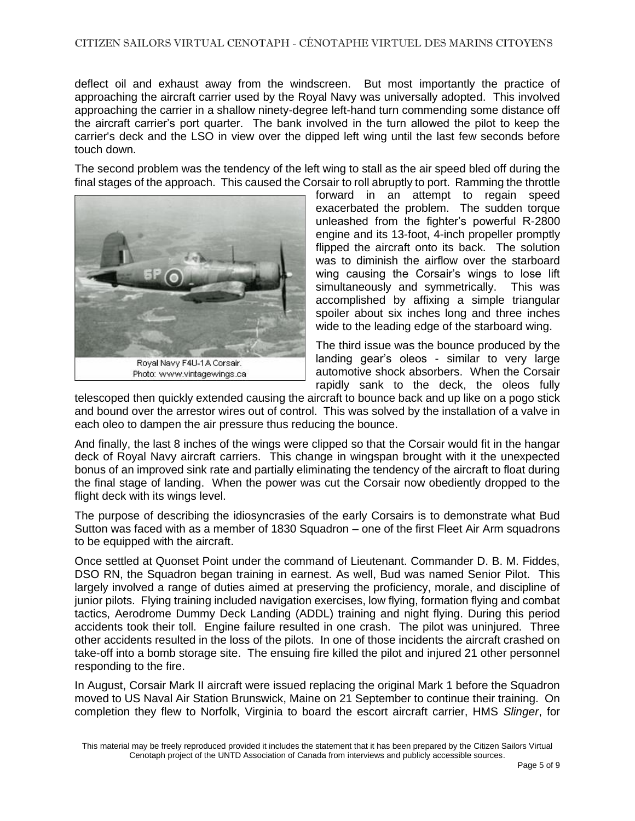deflect oil and exhaust away from the windscreen. But most importantly the practice of approaching the aircraft carrier used by the Royal Navy was universally adopted. This involved approaching the carrier in a shallow ninety-degree left-hand turn commending some distance off the aircraft carrier's port quarter. The bank involved in the turn allowed the pilot to keep the carrier's deck and the LSO in view over the dipped left wing until the last few seconds before touch down.

The second problem was the tendency of the left wing to stall as the air speed bled off during the final stages of the approach. This caused the Corsair to roll abruptly to port. Ramming the throttle



forward in an attempt to regain speed exacerbated the problem. The sudden torque unleashed from the fighter's powerful R-2800 engine and its 13-foot, 4-inch propeller promptly flipped the aircraft onto its back. The solution was to diminish the airflow over the starboard wing causing the Corsair's wings to lose lift simultaneously and symmetrically. This was accomplished by affixing a simple triangular spoiler about six inches long and three inches wide to the leading edge of the starboard wing.

The third issue was the bounce produced by the landing gear's oleos - similar to very large automotive shock absorbers. When the Corsair rapidly sank to the deck, the oleos fully

telescoped then quickly extended causing the aircraft to bounce back and up like on a pogo stick and bound over the arrestor wires out of control. This was solved by the installation of a valve in each oleo to dampen the air pressure thus reducing the bounce.

And finally, the last 8 inches of the wings were clipped so that the Corsair would fit in the hangar deck of Royal Navy aircraft carriers. This change in wingspan brought with it the unexpected bonus of an improved sink rate and partially eliminating the tendency of the aircraft to float during the final stage of landing. When the power was cut the Corsair now obediently dropped to the flight deck with its wings level.

The purpose of describing the idiosyncrasies of the early Corsairs is to demonstrate what Bud Sutton was faced with as a member of 1830 Squadron – one of the first Fleet Air Arm squadrons to be equipped with the aircraft.

Once settled at Quonset Point under the command of Lieutenant. Commander D. B. M. Fiddes, DSO RN, the Squadron began training in earnest. As well, Bud was named Senior Pilot. This largely involved a range of duties aimed at preserving the proficiency, morale, and discipline of junior pilots. Flying training included navigation exercises, low flying, formation flying and combat tactics, Aerodrome Dummy Deck Landing (ADDL) training and night flying. During this period accidents took their toll. Engine failure resulted in one crash. The pilot was uninjured. Three other accidents resulted in the loss of the pilots. In one of those incidents the aircraft crashed on take-off into a bomb storage site. The ensuing fire killed the pilot and injured 21 other personnel responding to the fire.

In August, Corsair Mark II aircraft were issued replacing the original Mark 1 before the Squadron moved to US Naval Air Station Brunswick, Maine on 21 September to continue their training. On completion they flew to Norfolk, Virginia to board the escort aircraft carrier, HMS *Slinger*, for

This material may be freely reproduced provided it includes the statement that it has been prepared by the Citizen Sailors Virtual Cenotaph project of the UNTD Association of Canada from interviews and publicly accessible sources.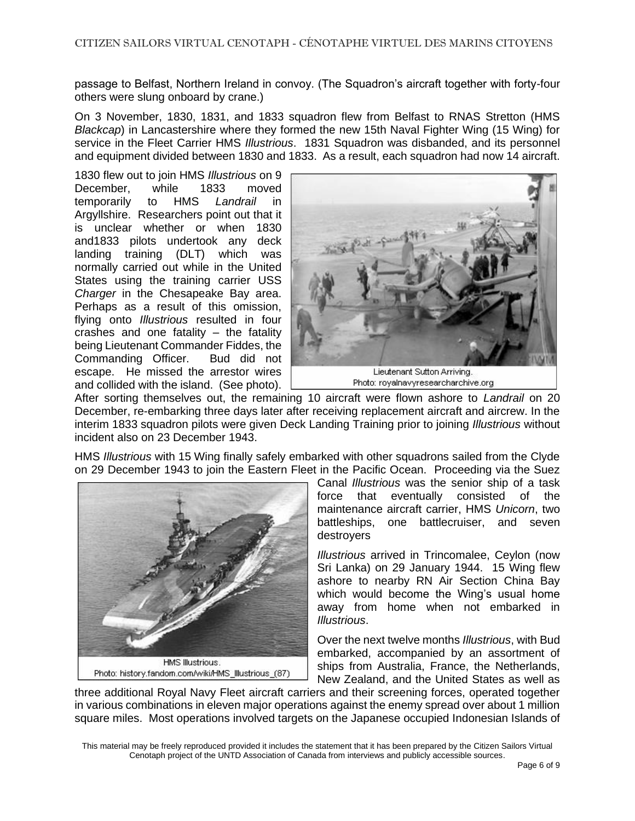passage to Belfast, Northern Ireland in convoy. (The Squadron's aircraft together with forty-four others were slung onboard by crane.)

On 3 November, 1830, 1831, and 1833 squadron flew from Belfast to RNAS Stretton (HMS *Blackcap*) in Lancastershire where they formed the new 15th Naval Fighter Wing (15 Wing) for service in the Fleet Carrier HMS *Illustrious*. 1831 Squadron was disbanded, and its personnel and equipment divided between 1830 and 1833. As a result, each squadron had now 14 aircraft.

1830 flew out to join HMS *Illustrious* on 9 December, while 1833 moved temporarily to HMS *Landrail* in Argyllshire. Researchers point out that it is unclear whether or when 1830 and1833 pilots undertook any deck landing training (DLT) which was normally carried out while in the United States using the training carrier USS *Charger* in the Chesapeake Bay area. Perhaps as a result of this omission, flying onto *Illustrious* resulted in four crashes and one fatality – the fatality being Lieutenant Commander Fiddes, the Commanding Officer. Bud did not escape. He missed the arrestor wires and collided with the island. (See photo).



After sorting themselves out, the remaining 10 aircraft were flown ashore to *Landrail* on 20 December, re-embarking three days later after receiving replacement aircraft and aircrew. In the interim 1833 squadron pilots were given Deck Landing Training prior to joining *Illustrious* without incident also on 23 December 1943.

HMS *Illustrious* with 15 Wing finally safely embarked with other squadrons sailed from the Clyde on 29 December 1943 to join the Eastern Fleet in the Pacific Ocean. Proceeding via the Suez



Photo: history.fandom.com/wiki/HMS\_lllustrious\_(87)

Canal *Illustrious* was the senior ship of a task force that eventually consisted of the maintenance aircraft carrier, HMS *Unicorn*, two battleships, one battlecruiser, and seven destroyers

*Illustrious* arrived in Trincomalee, Ceylon (now Sri Lanka) on 29 January 1944. 15 Wing flew ashore to nearby RN Air Section China Bay which would become the Wing's usual home away from home when not embarked in *Illustrious*.

Over the next twelve months *Illustrious*, with Bud embarked, accompanied by an assortment of ships from Australia, France, the Netherlands, New Zealand, and the United States as well as

three additional Royal Navy Fleet aircraft carriers and their screening forces, operated together in various combinations in eleven major operations against the enemy spread over about 1 million square miles. Most operations involved targets on the Japanese occupied Indonesian Islands of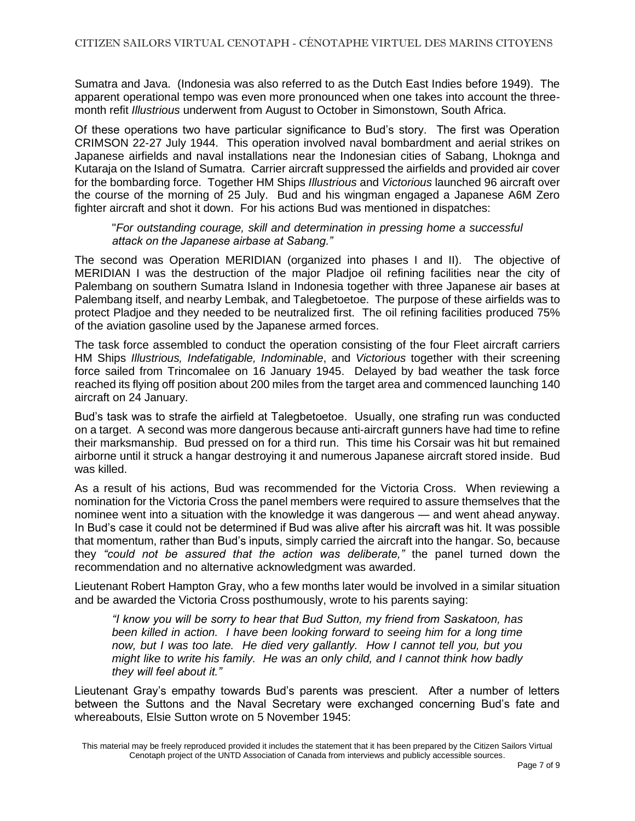Sumatra and Java. (Indonesia was also referred to as the Dutch East Indies before 1949). The apparent operational tempo was even more pronounced when one takes into account the threemonth refit *Illustrious* underwent from August to October in Simonstown, South Africa.

Of these operations two have particular significance to Bud's story. The first was Operation CRIMSON 22-27 July 1944. This operation involved naval bombardment and aerial strikes on Japanese airfields and naval installations near the Indonesian cities of Sabang, Lhoknga and Kutaraja on the Island of Sumatra. Carrier aircraft suppressed the airfields and provided air cover for the bombarding force. Together HM Ships *Illustrious* and *Victorious* launched 96 aircraft over the course of the morning of 25 July. Bud and his wingman engaged a Japanese A6M Zero fighter aircraft and shot it down. For his actions Bud was mentioned in dispatches:

"*For outstanding courage, skill and determination in pressing home a successful attack on the Japanese airbase at Sabang."*

The second was Operation MERIDIAN (organized into phases I and II). The objective of MERIDIAN I was the destruction of the major Pladjoe oil refining facilities near the city of Palembang on southern Sumatra Island in Indonesia together with three Japanese air bases at Palembang itself, and nearby Lembak, and Talegbetoetoe. The purpose of these airfields was to protect Pladjoe and they needed to be neutralized first. The oil refining facilities produced 75% of the aviation gasoline used by the Japanese armed forces.

The task force assembled to conduct the operation consisting of the four Fleet aircraft carriers HM Ships *Illustrious, Indefatigable, Indominable*, and *Victorious* together with their screening force sailed from Trincomalee on 16 January 1945. Delayed by bad weather the task force reached its flying off position about 200 miles from the target area and commenced launching 140 aircraft on 24 January.

Bud's task was to strafe the airfield at Talegbetoetoe. Usually, one strafing run was conducted on a target. A second was more dangerous because anti-aircraft gunners have had time to refine their marksmanship. Bud pressed on for a third run. This time his Corsair was hit but remained airborne until it struck a hangar destroying it and numerous Japanese aircraft stored inside. Bud was killed.

As a result of his actions, Bud was recommended for the Victoria Cross. When reviewing a nomination for the Victoria Cross the panel members were required to assure themselves that the nominee went into a situation with the knowledge it was dangerous — and went ahead anyway. In Bud's case it could not be determined if Bud was alive after his aircraft was hit. It was possible that momentum, rather than Bud's inputs, simply carried the aircraft into the hangar. So, because they *"could not be assured that the action was deliberate,"* the panel turned down the recommendation and no alternative acknowledgment was awarded.

Lieutenant Robert Hampton Gray, who a few months later would be involved in a similar situation and be awarded the Victoria Cross posthumously, wrote to his parents saying:

*"I know you will be sorry to hear that Bud Sutton, my friend from Saskatoon, has been killed in action. I have been looking forward to seeing him for a long time now, but I was too late. He died very gallantly. How I cannot tell you, but you might like to write his family. He was an only child, and I cannot think how badly they will feel about it."*

Lieutenant Gray's empathy towards Bud's parents was prescient. After a number of letters between the Suttons and the Naval Secretary were exchanged concerning Bud's fate and whereabouts, Elsie Sutton wrote on 5 November 1945:

This material may be freely reproduced provided it includes the statement that it has been prepared by the Citizen Sailors Virtual Cenotaph project of the UNTD Association of Canada from interviews and publicly accessible sources.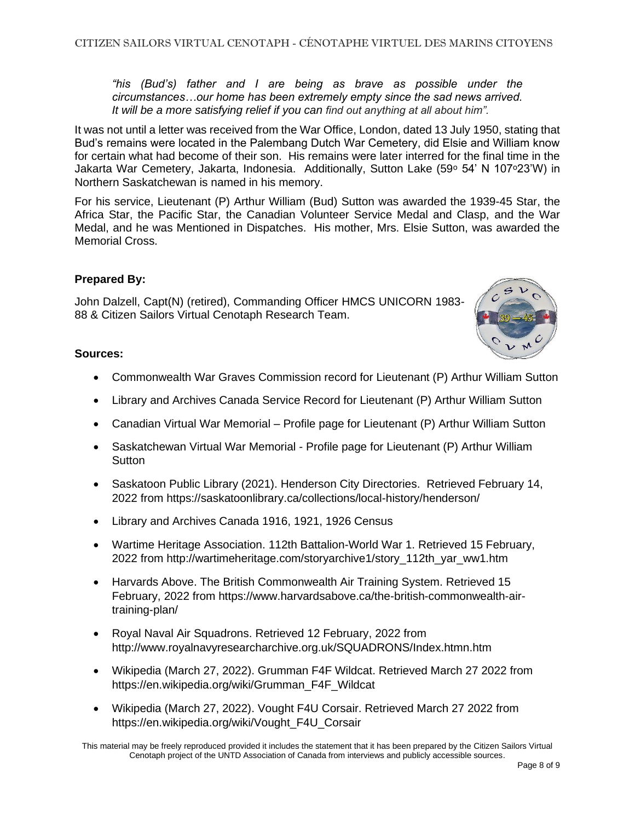*"his (Bud's) father and I are being as brave as possible under the circumstances…our home has been extremely empty since the sad news arrived. It will be a more satisfying relief if you can find out anything at all about him".*

It was not until a letter was received from the War Office, London, dated 13 July 1950, stating that Bud's remains were located in the Palembang Dutch War Cemetery, did Elsie and William know for certain what had become of their son. His remains were later interred for the final time in the Jakarta War Cemetery, Jakarta, Indonesia. Additionally, Sutton Lake (59° 54' N 107°23'W) in Northern Saskatchewan is named in his memory.

For his service, Lieutenant (P) Arthur William (Bud) Sutton was awarded the 1939-45 Star, the Africa Star, the Pacific Star, the Canadian Volunteer Service Medal and Clasp, and the War Medal, and he was Mentioned in Dispatches. His mother, Mrs. Elsie Sutton, was awarded the Memorial Cross.

## **Prepared By:**

John Dalzell, Capt(N) (retired), Commanding Officer HMCS UNICORN 1983- 88 & Citizen Sailors Virtual Cenotaph Research Team.

## **Sources:**

- Commonwealth War Graves Commission record for Lieutenant (P) Arthur William Sutton
- Library and Archives Canada Service Record for Lieutenant (P) Arthur William Sutton
- Canadian Virtual War Memorial Profile page for Lieutenant (P) Arthur William Sutton
- Saskatchewan Virtual War Memorial Profile page for Lieutenant (P) Arthur William **Sutton**
- Saskatoon Public Library (2021). Henderson City Directories. Retrieved February 14, 2022 from https://saskatoonlibrary.ca/collections/local-history/henderson/
- Library and Archives Canada 1916, 1921, 1926 Census
- Wartime Heritage Association. 112th Battalion-World War 1. Retrieved 15 February, 2022 from http://wartimeheritage.com/storyarchive1/story\_112th\_yar\_ww1.htm
- Harvards Above. The British Commonwealth Air Training System. Retrieved 15 February, 2022 from https://www.harvardsabove.ca/the-british-commonwealth-airtraining-plan/
- Royal Naval Air Squadrons. Retrieved 12 February, 2022 from http://www.royalnavyresearcharchive.org.uk/SQUADRONS/Index.htmn.htm
- Wikipedia (March 27, 2022). Grumman F4F Wildcat. Retrieved March 27 2022 from https://en.wikipedia.org/wiki/Grumman\_F4F\_Wildcat
- Wikipedia (March 27, 2022). Vought F4U Corsair. Retrieved March 27 2022 from https://en.wikipedia.org/wiki/Vought\_F4U\_Corsair